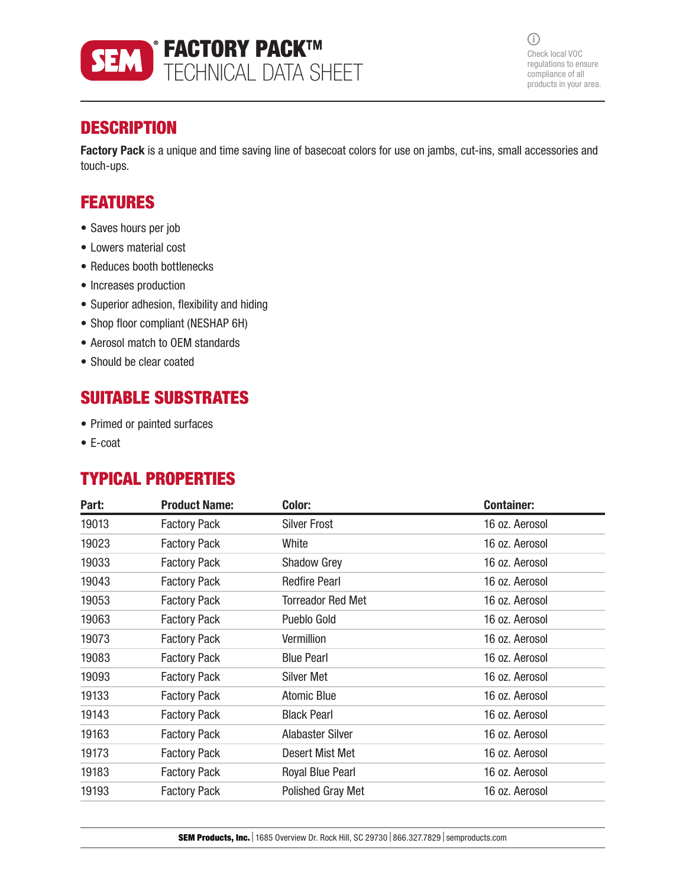

 $\odot$ Check local VOC regulations to ensure compliance of all products in your area.

## **DESCRIPTION**

Factory Pack is a unique and time saving line of basecoat colors for use on jambs, cut-ins, small accessories and touch-ups.

## FEATURES

- Saves hours per job
- Lowers material cost
- Reduces booth bottlenecks
- Increases production
- Superior adhesion, flexibility and hiding
- Shop floor compliant (NESHAP 6H)
- Aerosol match to OEM standards
- Should be clear coated

## SUITABLE SUBSTRATES

- Primed or painted surfaces
- E-coat

# TYPICAL PROPERTIES

| Part: | <b>Product Name:</b> | Color:                   | <b>Container:</b> |
|-------|----------------------|--------------------------|-------------------|
| 19013 | <b>Factory Pack</b>  | <b>Silver Frost</b>      | 16 oz. Aerosol    |
| 19023 | <b>Factory Pack</b>  | White                    | 16 oz. Aerosol    |
| 19033 | <b>Factory Pack</b>  | <b>Shadow Grey</b>       | 16 oz. Aerosol    |
| 19043 | <b>Factory Pack</b>  | <b>Redfire Pearl</b>     | 16 oz. Aerosol    |
| 19053 | <b>Factory Pack</b>  | <b>Torreador Red Met</b> | 16 oz. Aerosol    |
| 19063 | <b>Factory Pack</b>  | Pueblo Gold              | 16 oz. Aerosol    |
| 19073 | <b>Factory Pack</b>  | Vermillion               | 16 oz. Aerosol    |
| 19083 | <b>Factory Pack</b>  | <b>Blue Pearl</b>        | 16 oz. Aerosol    |
| 19093 | <b>Factory Pack</b>  | <b>Silver Met</b>        | 16 oz. Aerosol    |
| 19133 | <b>Factory Pack</b>  | Atomic Blue              | 16 oz. Aerosol    |
| 19143 | <b>Factory Pack</b>  | <b>Black Pearl</b>       | 16 oz. Aerosol    |
| 19163 | <b>Factory Pack</b>  | <b>Alabaster Silver</b>  | 16 oz. Aerosol    |
| 19173 | <b>Factory Pack</b>  | Desert Mist Met          | 16 oz. Aerosol    |
| 19183 | <b>Factory Pack</b>  | <b>Royal Blue Pearl</b>  | 16 oz. Aerosol    |
| 19193 | <b>Factory Pack</b>  | <b>Polished Gray Met</b> | 16 oz. Aerosol    |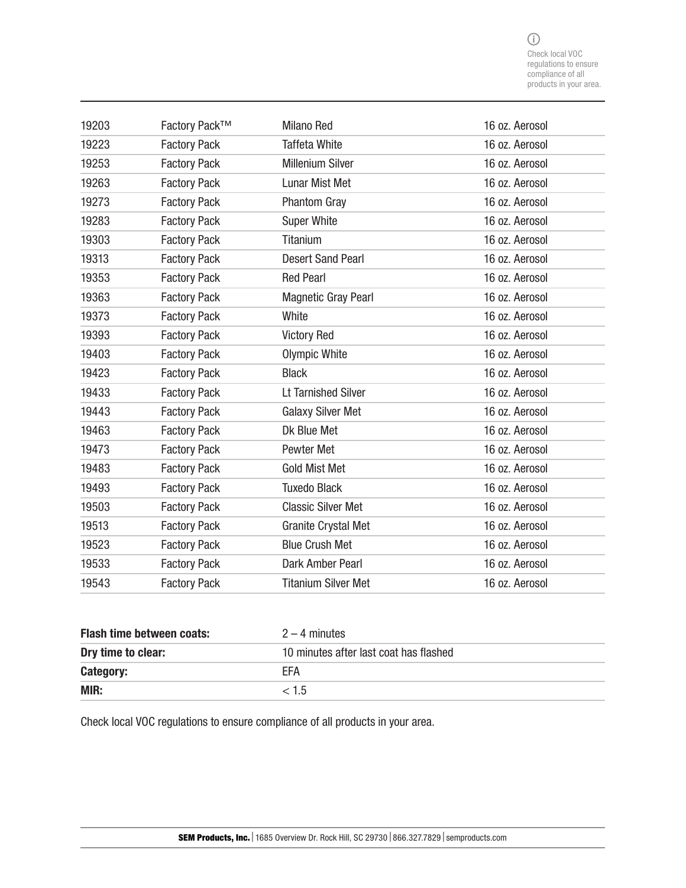| 19203 | Factory Pack™       | <b>Milano Red</b>          | 16 oz. Aerosol |
|-------|---------------------|----------------------------|----------------|
| 19223 | <b>Factory Pack</b> | <b>Taffeta White</b>       | 16 oz. Aerosol |
| 19253 | <b>Factory Pack</b> | <b>Millenium Silver</b>    | 16 oz. Aerosol |
| 19263 | <b>Factory Pack</b> | <b>Lunar Mist Met</b>      | 16 oz. Aerosol |
| 19273 | <b>Factory Pack</b> | <b>Phantom Gray</b>        | 16 oz. Aerosol |
| 19283 | <b>Factory Pack</b> | <b>Super White</b>         | 16 oz. Aerosol |
| 19303 | <b>Factory Pack</b> | Titanium                   | 16 oz. Aerosol |
| 19313 | <b>Factory Pack</b> | <b>Desert Sand Pearl</b>   | 16 oz. Aerosol |
| 19353 | <b>Factory Pack</b> | <b>Red Pearl</b>           | 16 oz. Aerosol |
| 19363 | <b>Factory Pack</b> | <b>Magnetic Gray Pearl</b> | 16 oz. Aerosol |
| 19373 | <b>Factory Pack</b> | White                      | 16 oz. Aerosol |
| 19393 | <b>Factory Pack</b> | <b>Victory Red</b>         | 16 oz. Aerosol |
| 19403 | <b>Factory Pack</b> | Olympic White              | 16 oz. Aerosol |
| 19423 | <b>Factory Pack</b> | <b>Black</b>               | 16 oz. Aerosol |
| 19433 | <b>Factory Pack</b> | <b>Lt Tarnished Silver</b> | 16 oz. Aerosol |
| 19443 | <b>Factory Pack</b> | <b>Galaxy Silver Met</b>   | 16 oz. Aerosol |
| 19463 | <b>Factory Pack</b> | Dk Blue Met                | 16 oz. Aerosol |
| 19473 | <b>Factory Pack</b> | Pewter Met                 | 16 oz. Aerosol |
| 19483 | <b>Factory Pack</b> | <b>Gold Mist Met</b>       | 16 oz. Aerosol |
| 19493 | <b>Factory Pack</b> | <b>Tuxedo Black</b>        | 16 oz. Aerosol |
| 19503 | <b>Factory Pack</b> | <b>Classic Silver Met</b>  | 16 oz. Aerosol |
| 19513 | <b>Factory Pack</b> | <b>Granite Crystal Met</b> | 16 oz. Aerosol |
| 19523 | <b>Factory Pack</b> | <b>Blue Crush Met</b>      | 16 oz. Aerosol |
| 19533 | <b>Factory Pack</b> | Dark Amber Pearl           | 16 oz. Aerosol |
| 19543 | <b>Factory Pack</b> | <b>Titanium Silver Met</b> | 16 oz. Aerosol |

| <b>Flash time between coats:</b> | $2 - 4$ minutes                        |
|----------------------------------|----------------------------------------|
| Dry time to clear:               | 10 minutes after last coat has flashed |
| Category:                        | <b>FFA</b>                             |
| <b>MIR:</b>                      | < 1.5                                  |

Check local VOC regulations to ensure compliance of all products in your area.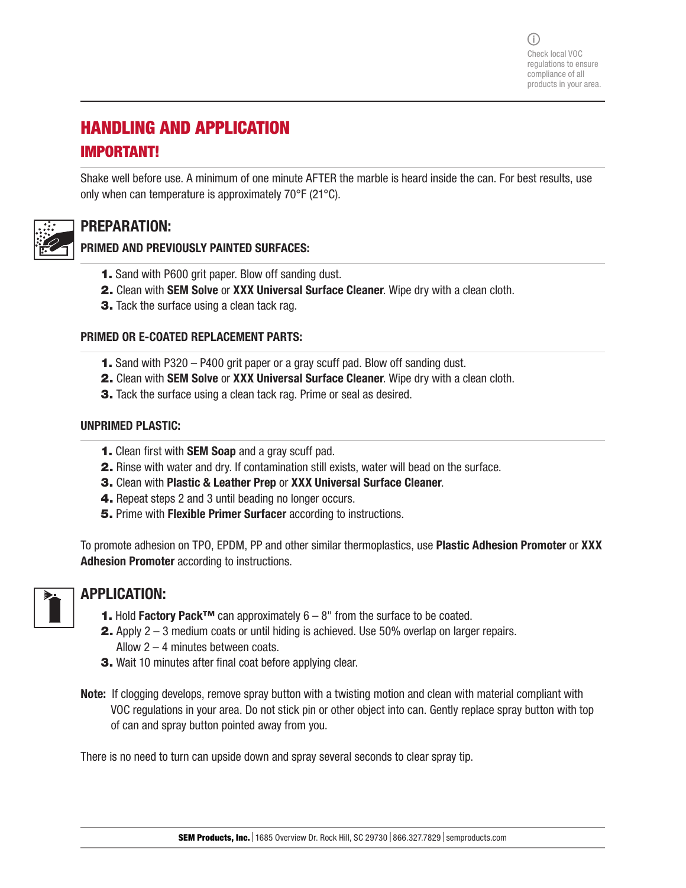(i) Check local VOC regulations to ensure compliance of all products in your area.

# HANDLING AND APPLICATION IMPORTANT!

Shake well before use. A minimum of one minute AFTER the marble is heard inside the can. For best results, use only when can temperature is approximately 70°F (21°C).

### PREPARATION:

#### PRIMED AND PREVIOUSLY PAINTED SURFACES:

- 1. Sand with P600 grit paper. Blow off sanding dust.
- 2. Clean with SEM Solve or XXX Universal Surface Cleaner. Wipe dry with a clean cloth.
- **3.** Tack the surface using a clean tack rag.

#### PRIMED OR E-COATED REPLACEMENT PARTS:

- 1. Sand with P320 P400 grit paper or a gray scuff pad. Blow off sanding dust.
- 2. Clean with SEM Solve or XXX Universal Surface Cleaner. Wipe dry with a clean cloth.
- **3.** Tack the surface using a clean tack rag. Prime or seal as desired.

#### UNPRIMED PLASTIC:

- 1. Clean first with SEM Soap and a gray scuff pad.
- 2. Rinse with water and dry. If contamination still exists, water will bead on the surface.
- 3. Clean with Plastic & Leather Prep or XXX Universal Surface Cleaner.
- 4. Repeat steps 2 and 3 until beading no longer occurs.
- **5.** Prime with Flexible Primer Surfacer according to instructions.

To promote adhesion on TPO, EPDM, PP and other similar thermoplastics, use **Plastic Adhesion Promoter** or **XXX** Adhesion Promoter according to instructions.

#### APPLICATION:

- **1.** Hold Factory Pack<sup>™</sup> can approximately  $6 8$ " from the surface to be coated.
- 2. Apply 2 3 medium coats or until hiding is achieved. Use 50% overlap on larger repairs. Allow 2 – 4 minutes between coats.
- 3. Wait 10 minutes after final coat before applying clear.
- Note: If clogging develops, remove spray button with a twisting motion and clean with material compliant with VOC regulations in your area. Do not stick pin or other object into can. Gently replace spray button with top of can and spray button pointed away from you.

There is no need to turn can upside down and spray several seconds to clear spray tip.